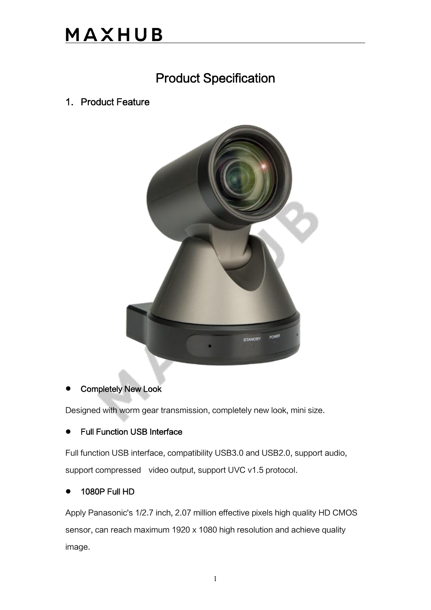# Product Specification

1. Product Feature



#### Completely New Look

Designed with worm gear transmission, completely new look, mini size.

#### **•** Full Function USB Interface

Full function USB interface, compatibility USB3.0 and USB2.0, support audio, support compressed video output, support UVC v1.5 protocol.

#### 1080P Full HD

Apply Panasonic's 1/2.7 inch, 2.07 million effective pixels high quality HD CMOS sensor, can reach maximum 1920 x 1080 high resolution and achieve quality image.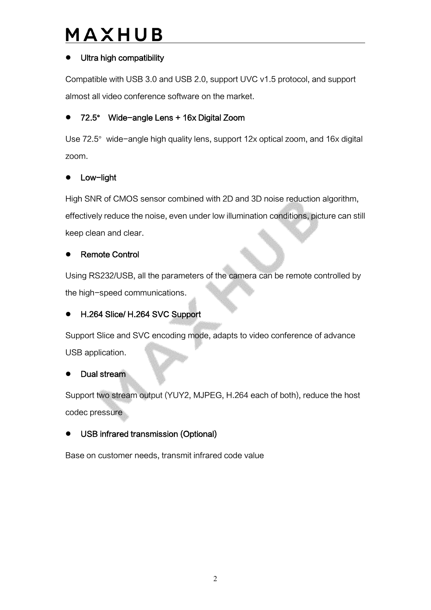#### Ultra high compatibility

Compatible with USB 3.0 and USB 2.0, support UVC v1.5 protocol, and support almost allvideo conference software on the market.

#### 72.5° Wide-angle Lens + 16x Digital Zoom

Use 72.5° wide-angle high quality lens, support 12x optical zoom, and 16x digital zoom.

#### Low-light

High SNR of CMOS sensor combined with 2D and 3D noise reduction algorithm, effectively reduce the noise, even under low illumination conditions, picture can still keep clean and clear.

#### Remote Control

Using RS232/USB, all the parameters of the camera can be remote controlled by the high-speed communications.

#### H.264 Slice/ H.264 SVC Support

Support Slice and SVC encoding mode, adapts to video conference of advance USB application.

#### Dual stream

Support two stream output (YUY2, MJPEG, H.264 each of both), reduce the host codec pressure

#### USB infrared transmission (Optional)

Base on customer needs, transmit infrared code value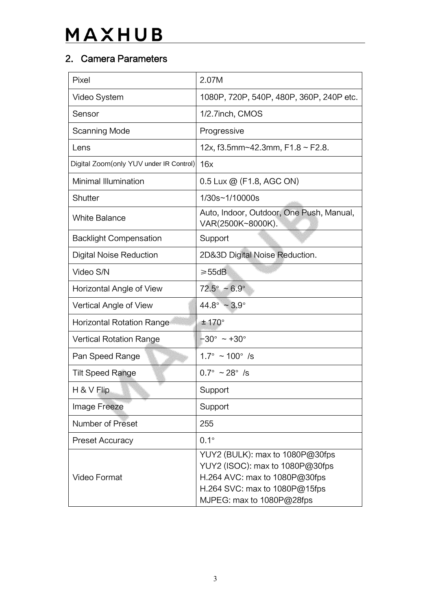# 2. Camera Parameters

| Pixel                                   | 2.07M                                                                                                                                                             |
|-----------------------------------------|-------------------------------------------------------------------------------------------------------------------------------------------------------------------|
| Video System                            | 1080P, 720P, 540P, 480P, 360P, 240P etc.                                                                                                                          |
| Sensor                                  | 1/2.7inch, CMOS                                                                                                                                                   |
| <b>Scanning Mode</b>                    | Progressive                                                                                                                                                       |
| Lens                                    | 12x, f3.5mm~42.3mm, $F1.8 \sim F2.8$ .                                                                                                                            |
| Digital Zoom(only YUV under IR Control) | 16x                                                                                                                                                               |
| Minimal Illumination                    | 0.5 Lux @ (F1.8, AGC ON)                                                                                                                                          |
| Shutter                                 | 1/30s~1/10000s                                                                                                                                                    |
| <b>White Balance</b>                    | Auto, Indoor, Outdoor, One Push, Manual,<br>VAR(2500K~8000K).                                                                                                     |
| <b>Backlight Compensation</b>           | Support                                                                                                                                                           |
| <b>Digital Noise Reduction</b>          | 2D&3D Digital Noise Reduction.                                                                                                                                    |
| Video S/N                               | $\geq 55$ dB                                                                                                                                                      |
| Horizontal Angle of View                | $72.5^{\circ}$ ~ 6.9°                                                                                                                                             |
| Vertical Angle of View                  | $44.8^{\circ}$ ~ 3.9°                                                                                                                                             |
| Horizontal Rotation Range               | $± 170^\circ$                                                                                                                                                     |
| <b>Vertical Rotation Range</b>          | $-30^{\circ}$ ~ +30 $^{\circ}$                                                                                                                                    |
| Pan Speed Range                         | $1.7^{\circ}$ ~ 100° /s                                                                                                                                           |
| <b>Tilt Speed Range</b>                 | $0.7^{\circ}$ ~ 28° /s                                                                                                                                            |
| H & V Flip                              | Support                                                                                                                                                           |
| Image Freeze                            | Support                                                                                                                                                           |
| Number of Preset                        | 255                                                                                                                                                               |
| <b>Preset Accuracy</b>                  | $0.1^\circ$                                                                                                                                                       |
| <b>Video Format</b>                     | YUY2 (BULK): max to 1080P@30fps<br>YUY2 (ISOC): max to 1080P@30fps<br>H.264 AVC: max to 1080P@30fps<br>H.264 SVC: max to 1080P@15fps<br>MJPEG: max to 1080P@28fps |